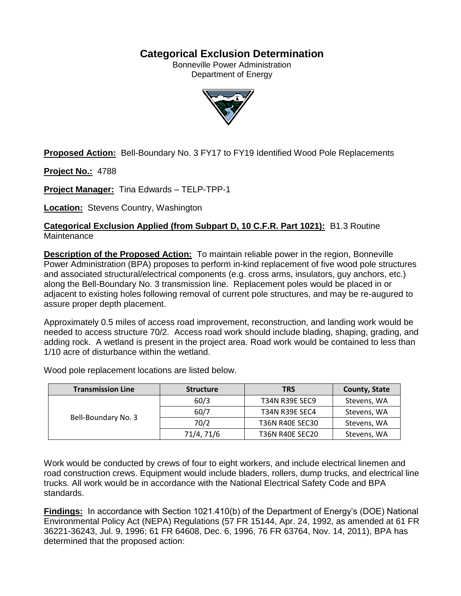# **Categorical Exclusion Determination**

Bonneville Power Administration Department of Energy



**Proposed Action:** Bell-Boundary No. 3 FY17 to FY19 Identified Wood Pole Replacements

**Project No.:** 4788

**Project Manager:** Tina Edwards – TELP-TPP-1

**Location:** Stevens Country, Washington

**Categorical Exclusion Applied (from Subpart D, 10 C.F.R. Part 1021):** B1.3 Routine **Maintenance** 

**Description of the Proposed Action:** To maintain reliable power in the region, Bonneville Power Administration (BPA) proposes to perform in-kind replacement of five wood pole structures and associated structural/electrical components (e.g. cross arms, insulators, guy anchors, etc.) along the Bell-Boundary No. 3 transmission line. Replacement poles would be placed in or adjacent to existing holes following removal of current pole structures, and may be re-augured to assure proper depth placement.

Approximately 0.5 miles of access road improvement, reconstruction, and landing work would be needed to access structure 70/2. Access road work should include blading, shaping, grading, and adding rock. A wetland is present in the project area. Road work would be contained to less than 1/10 acre of disturbance within the wetland.

| <b>Transmission Line</b> | <b>Structure</b> | <b>TRS</b>             | <b>County, State</b> |
|--------------------------|------------------|------------------------|----------------------|
| Bell-Boundary No. 3      | 60/3             | <b>T34N R39E SEC9</b>  | Stevens, WA          |
|                          | 60/7             | <b>T34N R39E SEC4</b>  | Stevens, WA          |
|                          | 70/2             | <b>T36N R40E SEC30</b> | Stevens, WA          |
|                          | 71/4, 71/6       | <b>T36N R40E SEC20</b> | Stevens, WA          |

Wood pole replacement locations are listed below.

Work would be conducted by crews of four to eight workers, and include electrical linemen and road construction crews. Equipment would include bladers, rollers, dump trucks, and electrical line trucks. All work would be in accordance with the National Electrical Safety Code and BPA standards.

**Findings:** In accordance with Section 1021.410(b) of the Department of Energy's (DOE) National Environmental Policy Act (NEPA) Regulations (57 FR 15144, Apr. 24, 1992, as amended at 61 FR 36221-36243, Jul. 9, 1996; 61 FR 64608, Dec. 6, 1996, 76 FR 63764, Nov. 14, 2011), BPA has determined that the proposed action: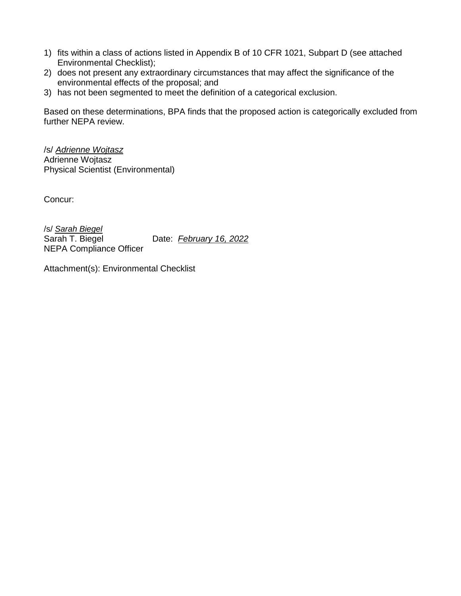- 1) fits within a class of actions listed in Appendix B of 10 CFR 1021, Subpart D (see attached Environmental Checklist);
- 2) does not present any extraordinary circumstances that may affect the significance of the environmental effects of the proposal; and
- 3) has not been segmented to meet the definition of a categorical exclusion.

Based on these determinations, BPA finds that the proposed action is categorically excluded from further NEPA review.

/s/ *Adrienne Wojtasz* Adrienne Wojtasz Physical Scientist (Environmental)

Concur:

/s/ *Sarah Biegel* Sarah T. Biegel Date: *February 16, 2022* NEPA Compliance Officer

Attachment(s): Environmental Checklist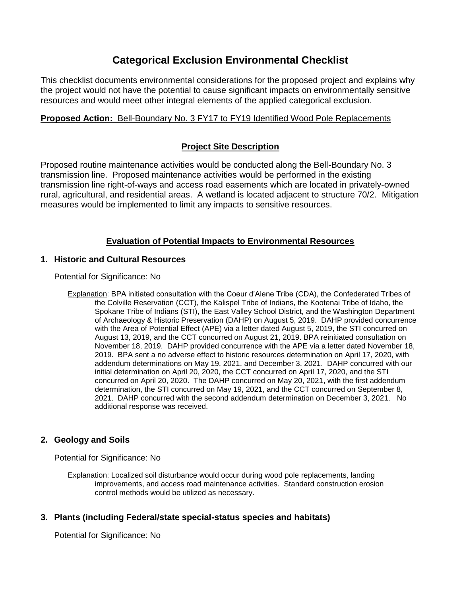# **Categorical Exclusion Environmental Checklist**

This checklist documents environmental considerations for the proposed project and explains why the project would not have the potential to cause significant impacts on environmentally sensitive resources and would meet other integral elements of the applied categorical exclusion.

# **Proposed Action:** Bell-Boundary No. 3 FY17 to FY19 Identified Wood Pole Replacements

## **Project Site Description**

Proposed routine maintenance activities would be conducted along the Bell-Boundary No. 3 transmission line. Proposed maintenance activities would be performed in the existing transmission line right-of-ways and access road easements which are located in privately-owned rural, agricultural, and residential areas. A wetland is located adjacent to structure 70/2. Mitigation measures would be implemented to limit any impacts to sensitive resources.

# **Evaluation of Potential Impacts to Environmental Resources**

## **1. Historic and Cultural Resources**

Potential for Significance: No

Explanation: BPA initiated consultation with the Coeur d'Alene Tribe (CDA), the Confederated Tribes of the Colville Reservation (CCT), the Kalispel Tribe of Indians, the Kootenai Tribe of Idaho, the Spokane Tribe of Indians (STI), the East Valley School District, and the Washington Department of Archaeology & Historic Preservation (DAHP) on August 5, 2019. DAHP provided concurrence with the Area of Potential Effect (APE) via a letter dated August 5, 2019, the STI concurred on August 13, 2019, and the CCT concurred on August 21, 2019. BPA reinitiated consultation on November 18, 2019. DAHP provided concurrence with the APE via a letter dated November 18, 2019. BPA sent a no adverse effect to historic resources determination on April 17, 2020, with addendum determinations on May 19, 2021, and December 3, 2021. DAHP concurred with our initial determination on April 20, 2020, the CCT concurred on April 17, 2020, and the STI concurred on April 20, 2020. The DAHP concurred on May 20, 2021, with the first addendum determination, the STI concurred on May 19, 2021, and the CCT concurred on September 8, 2021. DAHP concurred with the second addendum determination on December 3, 2021. No additional response was received.

## **2. Geology and Soils**

Potential for Significance: No

Explanation: Localized soil disturbance would occur during wood pole replacements, landing improvements, and access road maintenance activities. Standard construction erosion control methods would be utilized as necessary.

## **3. Plants (including Federal/state special-status species and habitats)**

Potential for Significance: No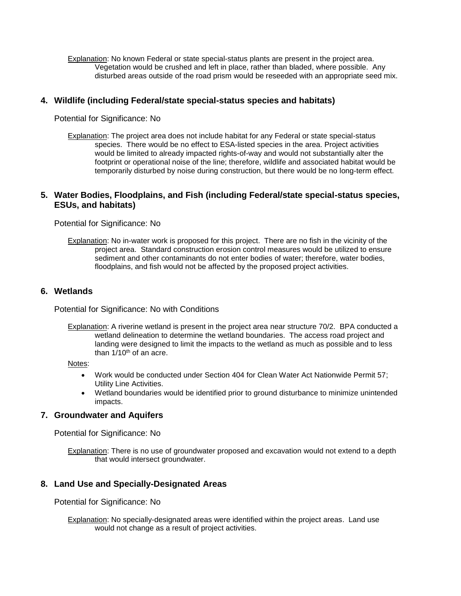Explanation: No known Federal or state special-status plants are present in the project area. Vegetation would be crushed and left in place, rather than bladed, where possible. Any disturbed areas outside of the road prism would be reseeded with an appropriate seed mix.

### **4. Wildlife (including Federal/state special-status species and habitats)**

Potential for Significance: No

Explanation: The project area does not include habitat for any Federal or state special-status species. There would be no effect to ESA-listed species in the area. Project activities would be limited to already impacted rights-of-way and would not substantially alter the footprint or operational noise of the line; therefore, wildlife and associated habitat would be temporarily disturbed by noise during construction, but there would be no long-term effect.

### **5. Water Bodies, Floodplains, and Fish (including Federal/state special-status species, ESUs, and habitats)**

Potential for Significance: No

Explanation: No in-water work is proposed for this project. There are no fish in the vicinity of the project area. Standard construction erosion control measures would be utilized to ensure sediment and other contaminants do not enter bodies of water; therefore, water bodies, floodplains, and fish would not be affected by the proposed project activities.

#### **6. Wetlands**

Potential for Significance: No with Conditions

Explanation: A riverine wetland is present in the project area near structure 70/2. BPA conducted a wetland delineation to determine the wetland boundaries. The access road project and landing were designed to limit the impacts to the wetland as much as possible and to less than  $1/10<sup>th</sup>$  of an acre.

Notes:

- Work would be conducted under Section 404 for Clean Water Act Nationwide Permit 57; Utility Line Activities.
- Wetland boundaries would be identified prior to ground disturbance to minimize unintended impacts.

## **7. Groundwater and Aquifers**

Potential for Significance: No

Explanation: There is no use of groundwater proposed and excavation would not extend to a depth that would intersect groundwater.

#### **8. Land Use and Specially-Designated Areas**

Potential for Significance: No

Explanation: No specially-designated areas were identified within the project areas. Land use would not change as a result of project activities.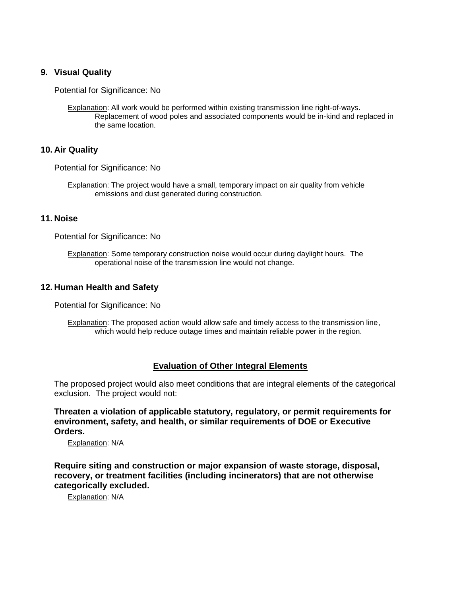### **9. Visual Quality**

Potential for Significance: No

Explanation: All work would be performed within existing transmission line right-of-ways. Replacement of wood poles and associated components would be in-kind and replaced in the same location.

#### **10. Air Quality**

Potential for Significance: No

Explanation: The project would have a small, temporary impact on air quality from vehicle emissions and dust generated during construction.

#### **11. Noise**

Potential for Significance: No

Explanation: Some temporary construction noise would occur during daylight hours. The operational noise of the transmission line would not change.

#### **12. Human Health and Safety**

Potential for Significance: No

Explanation: The proposed action would allow safe and timely access to the transmission line, which would help reduce outage times and maintain reliable power in the region.

#### **Evaluation of Other Integral Elements**

The proposed project would also meet conditions that are integral elements of the categorical exclusion. The project would not:

**Threaten a violation of applicable statutory, regulatory, or permit requirements for environment, safety, and health, or similar requirements of DOE or Executive Orders.**

Explanation: N/A

**Require siting and construction or major expansion of waste storage, disposal, recovery, or treatment facilities (including incinerators) that are not otherwise categorically excluded.**

Explanation: N/A